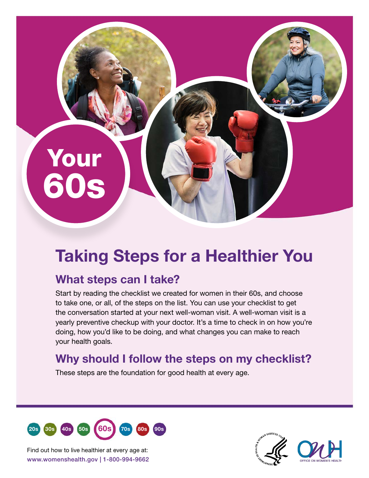# Your 60s

# Taking Steps for a Healthier You

# What steps can I take?

Start by reading the checklist we created for women in their 60s, and choose to take one, or all, of the steps on the list. You can use your checklist to get the conversation started at your next well-woman visit. A well-woman visit is a yearly preventive checkup with your doctor. It's a time to check in on how you're doing, how you'd like to be doing, and what changes you can make to reach your health goals.

## Why should I follow the steps on my checklist?

These steps are the foundation for good health at every age.



www.womenshealth.gov | 1-800-994-9662 Find out how to live healthier at every age at: